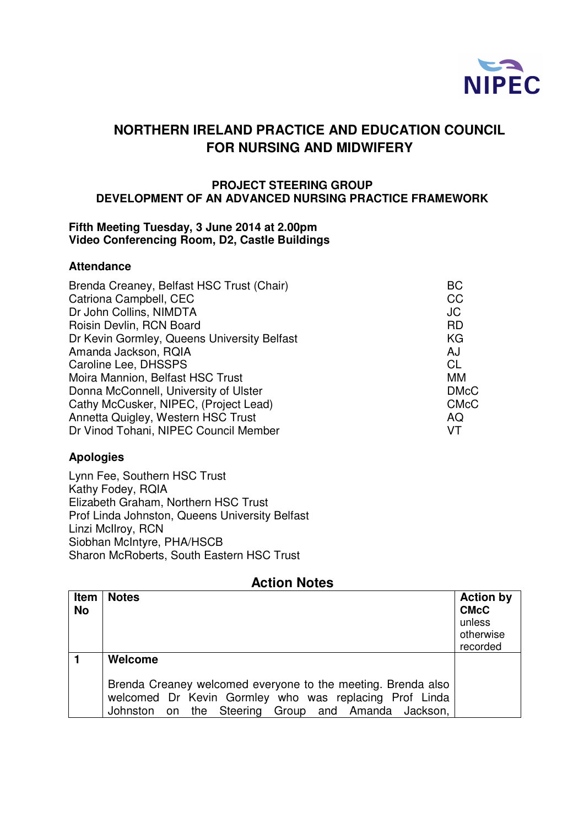

# **NORTHERN IRELAND PRACTICE AND EDUCATION COUNCIL FOR NURSING AND MIDWIFERY**

#### **PROJECT STEERING GROUP DEVELOPMENT OF AN ADVANCED NURSING PRACTICE FRAMEWORK**

#### **Fifth Meeting Tuesday, 3 June 2014 at 2.00pm Video Conferencing Room, D2, Castle Buildings**

#### **Attendance**

| Brenda Creaney, Belfast HSC Trust (Chair)   | <b>BC</b>   |
|---------------------------------------------|-------------|
| Catriona Campbell, CEC                      | <b>CC</b>   |
| Dr John Collins, NIMDTA                     | JC          |
| Roisin Devlin, RCN Board                    | <b>RD</b>   |
| Dr Kevin Gormley, Queens University Belfast | KG          |
| Amanda Jackson, RQIA                        | AJ          |
| Caroline Lee, DHSSPS                        | <b>CL</b>   |
| Moira Mannion, Belfast HSC Trust            | MM          |
| Donna McConnell, University of Ulster       | <b>DMcC</b> |
| Cathy McCusker, NIPEC, (Project Lead)       | <b>CMcC</b> |
| Annetta Quigley, Western HSC Trust          | AQ          |
| Dr Vinod Tohani, NIPEC Council Member       | VT          |

### **Apologies**

Lynn Fee, Southern HSC Trust Kathy Fodey, RQIA Elizabeth Graham, Northern HSC Trust Prof Linda Johnston, Queens University Belfast Linzi McIlroy, RCN Siobhan McIntyre, PHA/HSCB Sharon McRoberts, South Eastern HSC Trust

## **Action Notes**

| <b>Item</b><br><b>No</b> | <b>Notes</b>                                                                                                                                                                 | <b>Action by</b><br><b>CMcC</b><br>unless<br>otherwise<br>recorded |
|--------------------------|------------------------------------------------------------------------------------------------------------------------------------------------------------------------------|--------------------------------------------------------------------|
|                          | Welcome                                                                                                                                                                      |                                                                    |
|                          | Brenda Creaney welcomed everyone to the meeting. Brenda also<br>welcomed Dr Kevin Gormley who was replacing Prof Linda<br>Johnston on the Steering Group and Amanda Jackson, |                                                                    |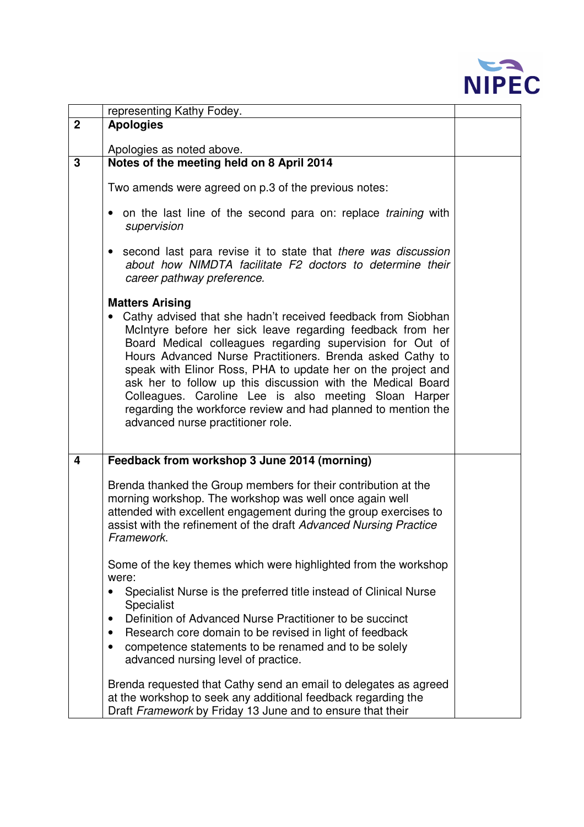

|                         | representing Kathy Fodey.                                                                                                                                                                                                                                                                                                                                                                                                                                                                                                                                                    |  |
|-------------------------|------------------------------------------------------------------------------------------------------------------------------------------------------------------------------------------------------------------------------------------------------------------------------------------------------------------------------------------------------------------------------------------------------------------------------------------------------------------------------------------------------------------------------------------------------------------------------|--|
| $\mathbf{2}$            | <b>Apologies</b>                                                                                                                                                                                                                                                                                                                                                                                                                                                                                                                                                             |  |
|                         | Apologies as noted above.                                                                                                                                                                                                                                                                                                                                                                                                                                                                                                                                                    |  |
| 3                       | Notes of the meeting held on 8 April 2014                                                                                                                                                                                                                                                                                                                                                                                                                                                                                                                                    |  |
|                         | Two amends were agreed on p.3 of the previous notes:                                                                                                                                                                                                                                                                                                                                                                                                                                                                                                                         |  |
|                         | on the last line of the second para on: replace training with<br>supervision                                                                                                                                                                                                                                                                                                                                                                                                                                                                                                 |  |
|                         | second last para revise it to state that there was discussion<br>about how NIMDTA facilitate F2 doctors to determine their<br>career pathway preference.                                                                                                                                                                                                                                                                                                                                                                                                                     |  |
|                         | <b>Matters Arising</b><br>Cathy advised that she hadn't received feedback from Siobhan<br>McIntyre before her sick leave regarding feedback from her<br>Board Medical colleagues regarding supervision for Out of<br>Hours Advanced Nurse Practitioners. Brenda asked Cathy to<br>speak with Elinor Ross, PHA to update her on the project and<br>ask her to follow up this discussion with the Medical Board<br>Colleagues. Caroline Lee is also meeting Sloan Harper<br>regarding the workforce review and had planned to mention the<br>advanced nurse practitioner role. |  |
| $\overline{\mathbf{4}}$ | Feedback from workshop 3 June 2014 (morning)                                                                                                                                                                                                                                                                                                                                                                                                                                                                                                                                 |  |
|                         | Brenda thanked the Group members for their contribution at the<br>morning workshop. The workshop was well once again well<br>attended with excellent engagement during the group exercises to<br>assist with the refinement of the draft Advanced Nursing Practice<br>Framework.                                                                                                                                                                                                                                                                                             |  |
|                         | Some of the key themes which were highlighted from the workshop<br>were:<br>Specialist Nurse is the preferred title instead of Clinical Nurse<br>$\bullet$<br>Specialist<br>Definition of Advanced Nurse Practitioner to be succinct<br>$\bullet$<br>Research core domain to be revised in light of feedback<br>$\bullet$<br>competence statements to be renamed and to be solely<br>advanced nursing level of practice.                                                                                                                                                     |  |
|                         | Brenda requested that Cathy send an email to delegates as agreed<br>at the workshop to seek any additional feedback regarding the<br>Draft Framework by Friday 13 June and to ensure that their                                                                                                                                                                                                                                                                                                                                                                              |  |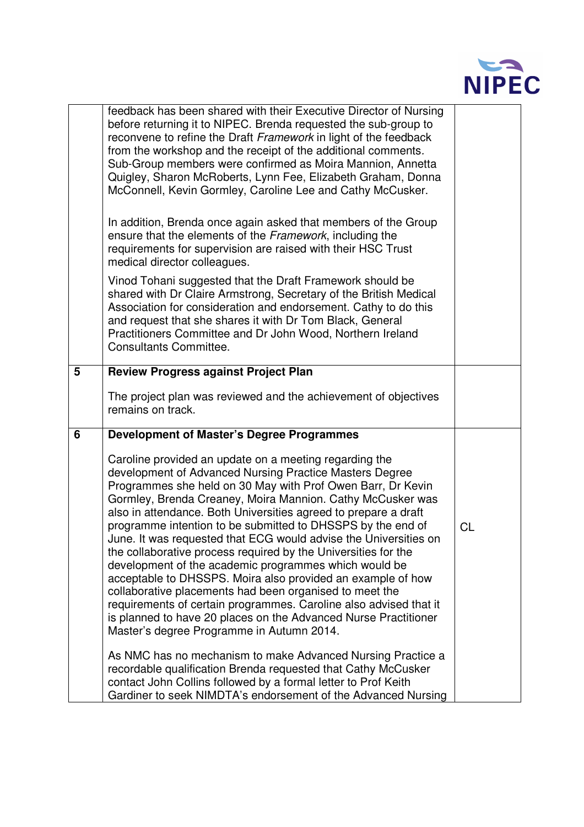

|   | feedback has been shared with their Executive Director of Nursing<br>before returning it to NIPEC. Brenda requested the sub-group to<br>reconvene to refine the Draft Framework in light of the feedback<br>from the workshop and the receipt of the additional comments.<br>Sub-Group members were confirmed as Moira Mannion, Annetta<br>Quigley, Sharon McRoberts, Lynn Fee, Elizabeth Graham, Donna<br>McConnell, Kevin Gormley, Caroline Lee and Cathy McCusker.                                                                                                                                                                                                                                                                                                                                                                                                                          |           |
|---|------------------------------------------------------------------------------------------------------------------------------------------------------------------------------------------------------------------------------------------------------------------------------------------------------------------------------------------------------------------------------------------------------------------------------------------------------------------------------------------------------------------------------------------------------------------------------------------------------------------------------------------------------------------------------------------------------------------------------------------------------------------------------------------------------------------------------------------------------------------------------------------------|-----------|
|   | In addition, Brenda once again asked that members of the Group<br>ensure that the elements of the Framework, including the<br>requirements for supervision are raised with their HSC Trust<br>medical director colleagues.                                                                                                                                                                                                                                                                                                                                                                                                                                                                                                                                                                                                                                                                     |           |
|   | Vinod Tohani suggested that the Draft Framework should be<br>shared with Dr Claire Armstrong, Secretary of the British Medical<br>Association for consideration and endorsement. Cathy to do this<br>and request that she shares it with Dr Tom Black, General<br>Practitioners Committee and Dr John Wood, Northern Ireland<br><b>Consultants Committee.</b>                                                                                                                                                                                                                                                                                                                                                                                                                                                                                                                                  |           |
| 5 | <b>Review Progress against Project Plan</b>                                                                                                                                                                                                                                                                                                                                                                                                                                                                                                                                                                                                                                                                                                                                                                                                                                                    |           |
|   | The project plan was reviewed and the achievement of objectives<br>remains on track.                                                                                                                                                                                                                                                                                                                                                                                                                                                                                                                                                                                                                                                                                                                                                                                                           |           |
| 6 | <b>Development of Master's Degree Programmes</b>                                                                                                                                                                                                                                                                                                                                                                                                                                                                                                                                                                                                                                                                                                                                                                                                                                               |           |
|   | Caroline provided an update on a meeting regarding the<br>development of Advanced Nursing Practice Masters Degree<br>Programmes she held on 30 May with Prof Owen Barr, Dr Kevin<br>Gormley, Brenda Creaney, Moira Mannion. Cathy McCusker was<br>also in attendance. Both Universities agreed to prepare a draft<br>programme intention to be submitted to DHSSPS by the end of<br>June. It was requested that ECG would advise the Universities on<br>the collaborative process required by the Universities for the<br>development of the academic programmes which would be<br>acceptable to DHSSPS. Moira also provided an example of how<br>collaborative placements had been organised to meet the<br>requirements of certain programmes. Caroline also advised that it<br>is planned to have 20 places on the Advanced Nurse Practitioner<br>Master's degree Programme in Autumn 2014. | <b>CL</b> |
|   | As NMC has no mechanism to make Advanced Nursing Practice a<br>recordable qualification Brenda requested that Cathy McCusker<br>contact John Collins followed by a formal letter to Prof Keith<br>Gardiner to seek NIMDTA's endorsement of the Advanced Nursing                                                                                                                                                                                                                                                                                                                                                                                                                                                                                                                                                                                                                                |           |